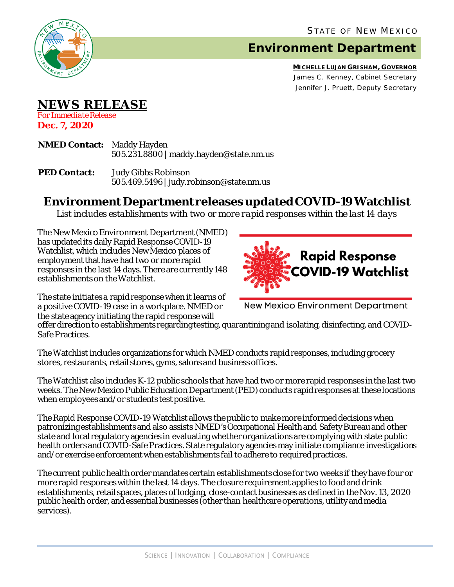

## **Environment Department**

**MICHELLE LUJAN GRISHAM, GOVERNOR** James C. Kenney, Cabinet Secretary Jennifer J. Pruett, Deputy Secretary

## **NEWS RELEASE**

*For Immediate Release* **Dec. 7, 2020**

- **NMED Contact:** Maddy Hayden 505.231.8800 | maddy.hayden@state.nm.us
- **PED Contact:** Judy Gibbs Robinson 505.469.5496 | judy.robinson@state.nm.us

## **Environment Department releases updated COVID-19 Watchlist**

*List includes establishments with two or more rapid responses within the last 14 days*

The New Mexico Environment Department(NMED) has updated its daily Rapid Response COVID-19 Watchlist, which includes New Mexico places of employment that have had two or more rapid responses in the last 14 days. There are currently 148 establishments on the Watchlist.

The state initiates a rapid response when it learns of a positive COVID-19 case in a workplace. NMED or the state agency initiating the rapid response will



**New Mexico Environment Department** 

offer direction to establishments regarding testing, quarantining and isolating, disinfecting, and COVID-Safe Practices.

The Watchlist includes organizations for which NMED conducts rapid responses, including grocery stores, restaurants, retail stores, gyms, salons and business offices.

The Watchlist also includes K-12 public schools that have had two or more rapid responses in the last two weeks. The New Mexico Public Education Department (PED) conducts rapid responses at these locations when employees and/or students test positive.

The Rapid Response COVID-19 Watchlist allows the public to make more informed decisions when patronizing establishments and also assists NMED's Occupational Health and Safety Bureauand other state and local regulatory agencies in evaluating whether organizations are complying with state public health orders and COVID-Safe Practices. State regulatory agencies may initiate compliance investigations and/or exercise enforcement when establishments fail to adhere to required practices.

The current public health order mandates certain establishments close for two weeks if they have four or more rapid responses within the last 14 days. The closure requirement applies to food and drink establishments, retail spaces, places of lodging, close-contact businesses as defined in the Nov. 13, 2020 public health order, and essential businesses (other than healthcare operations, utility and media services).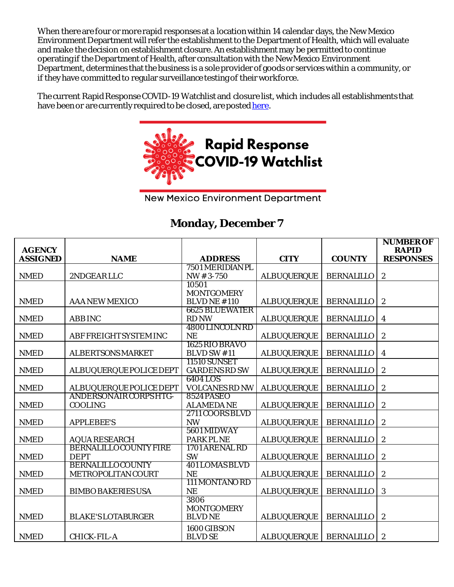When there are four or more rapid responses at a location within 14 calendar days, the New Mexico Environment Department will refer the establishment to the Department of Health, which will evaluate and make the decision on establishment closure. An establishment may be permitted to continue operating if the Department of Health, after consultation with the New Mexico Environment Department, determines that the business is a sole provider of goods or services within a community, or if they have committed to regular surveillance testing of their workforce.

The current Rapid Response COVID-19 Watchlist and closure list, which includes all establishments that have been or are currently required to be closed, are poste[d here.](https://www.env.nm.gov/rapid-response-data/)



**New Mexico Environment Department** 

## **Monday, December 7**

| <b>AGENCY</b>   |                                                      |                                       |                    |                   | <b>NUMBER OF</b><br><b>RAPID</b> |
|-----------------|------------------------------------------------------|---------------------------------------|--------------------|-------------------|----------------------------------|
| <b>ASSIGNED</b> | <b>NAME</b>                                          | <b>ADDRESS</b>                        | <b>CITY</b>        | <b>COUNTY</b>     | <b>RESPONSES</b>                 |
|                 |                                                      | 7501 MERIDIAN PL                      |                    |                   |                                  |
| <b>NMED</b>     | 2NDGEARLLC                                           | $NW # 3-750$                          | <b>ALBUQUERQUE</b> | <b>BERNALILLO</b> | $\overline{c}$                   |
|                 |                                                      | 10501                                 |                    |                   |                                  |
|                 |                                                      | <b>MONTGOMERY</b>                     |                    |                   |                                  |
| <b>NMED</b>     | <b>AAA NEW MEXICO</b>                                | <b>BLVDNE#110</b>                     | <b>ALBUQUERQUE</b> | <b>BERNALILLO</b> | $\boldsymbol{2}$                 |
| <b>NMED</b>     | <b>ABB INC</b>                                       | <b>6625 BLUEWATER</b><br><b>RD NW</b> | <b>ALBUQUERQUE</b> | <b>BERNALILLO</b> | $\overline{\mathbf{4}}$          |
|                 |                                                      | 4800 LINCOLN RD                       |                    |                   |                                  |
| <b>NMED</b>     | ABF FREIGHTSYSTEM INC                                | <b>NE</b>                             | <b>ALBUQUERQUE</b> | <b>BERNALILLO</b> | $\boldsymbol{2}$                 |
|                 |                                                      | 1625 RIO BRAVO                        |                    |                   |                                  |
| <b>NMED</b>     | <b>ALBERTSONS MARKET</b>                             | <b>BLVD SW #11</b>                    | <b>ALBUQUERQUE</b> | <b>BERNALILLO</b> | 4                                |
|                 |                                                      | <b>11510 SUNSET</b>                   |                    |                   |                                  |
| <b>NMED</b>     | <b>ALBUQUERQUE POLICE DEPT</b>                       | <b>GARDENS RD SW</b>                  | <b>ALBUQUERQUE</b> | <b>BERNALILLO</b> | $\boldsymbol{2}$                 |
|                 |                                                      | 6404 LOS                              |                    |                   |                                  |
| <b>NMED</b>     | <b>ALBUQUERQUE POLICE DEPT</b>                       | <b>VOLCANES RD NW</b>                 | <b>ALBUQUERQUE</b> | <b>BERNALILLO</b> | $\boldsymbol{2}$                 |
|                 | <b>ANDERSONAIR CORPS HTG-</b>                        | <b>8524 PASEO</b>                     |                    |                   |                                  |
| <b>NMED</b>     | <b>COOLING</b>                                       | <b>ALAMEDA NE</b>                     | <b>ALBUQUERQUE</b> | <b>BERNALILLO</b> | 2                                |
|                 |                                                      | 2711 COORS BLVD                       |                    |                   |                                  |
| <b>NMED</b>     | <b>APPLEBEE'S</b>                                    | <b>NW</b>                             | <b>ALBUQUERQUE</b> | <b>BERNALILLO</b> | $\boldsymbol{2}$                 |
|                 |                                                      | 5601 MIDWAY                           |                    |                   |                                  |
| <b>NMED</b>     | <b>AQUA RESEARCH</b><br><b>BERNALILLOCOUNTY FIRE</b> | <b>PARK PLNE</b><br>1701 ARENAL RD    | <b>ALBUQUERQUE</b> | <b>BERNALILLO</b> | $\boldsymbol{2}$                 |
| <b>NMED</b>     | <b>DEPT</b>                                          | <b>SW</b>                             | <b>ALBUQUERQUE</b> | <b>BERNALILLO</b> | $\boldsymbol{2}$                 |
|                 | <b>BERNALILLOCOUNTY</b>                              | <b>401 LOMAS BLVD</b>                 |                    |                   |                                  |
| <b>NMED</b>     | METROPOLITAN COURT                                   | <b>NE</b>                             | <b>ALBUQUERQUE</b> | <b>BERNALILLO</b> | $\boldsymbol{2}$                 |
|                 |                                                      | 111 MONTANO RD                        |                    |                   |                                  |
| <b>NMED</b>     | <b>BIMBO BAKERIES USA</b>                            | <b>NE</b>                             | <b>ALBUQUERQUE</b> | <b>BERNALILLO</b> | 3                                |
|                 |                                                      | 3806                                  |                    |                   |                                  |
|                 |                                                      | <b>MONTGOMERY</b>                     |                    |                   |                                  |
| <b>NMED</b>     | <b>BLAKE'S LOTABURGER</b>                            | <b>BLVDNE</b>                         | <b>ALBUQUERQUE</b> | <b>BERNALILLO</b> | $\boldsymbol{2}$                 |
|                 |                                                      | 1600 GIBSON                           |                    |                   |                                  |
| <b>NMED</b>     | <b>CHICK-FIL-A</b>                                   | <b>BLVD SE</b>                        | <b>ALBUQUERQUE</b> | <b>BERNALILLO</b> | $\boldsymbol{2}$                 |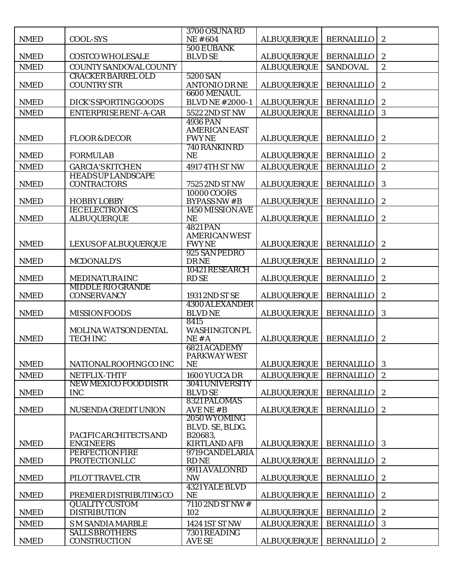|             |                                                | 3700 OSUNA RD                                |                    |                   |                  |
|-------------|------------------------------------------------|----------------------------------------------|--------------------|-------------------|------------------|
| <b>NMED</b> | <b>COOL-SYS</b>                                | <b>NE#604</b><br>500 EUBANK                  | <b>ALBUQUERQUE</b> | <b>BERNALILLO</b> | $\sqrt{2}$       |
| <b>NMED</b> | <b>COSTCO WHOLESALE</b>                        | <b>BLVD SE</b>                               | <b>ALBUQUERQUE</b> | <b>BERNALILLO</b> | $\sqrt{2}$       |
| <b>NMED</b> | COUNTY SANDOVAL COUNTY                         |                                              | <b>ALBUQUERQUE</b> | <b>SANDOVAL</b>   | $\overline{2}$   |
|             | <b>CRACKER BARREL OLD</b>                      | 5200 SAN                                     |                    |                   |                  |
| <b>NMED</b> | <b>COUNTRY STR</b>                             | <b>ANTONIO DRNE</b>                          | <b>ALBUQUERQUE</b> | <b>BERNALILLO</b> | $\boldsymbol{2}$ |
| <b>NMED</b> | DICK'S SPORTING GOODS                          | <b>6600 MENAUL</b><br><b>BLVD NE #2000-1</b> | <b>ALBUQUERQUE</b> | <b>BERNALILLO</b> | $\boldsymbol{2}$ |
| <b>NMED</b> | ENTERPRISE RENT-A-CAR                          | 5522 2ND ST NW                               | <b>ALBUQUERQUE</b> | <b>BERNALILLO</b> | 3                |
|             |                                                | <b>4936 PAN</b>                              |                    |                   |                  |
|             |                                                | <b>AMERICAN EAST</b>                         |                    |                   |                  |
| <b>NMED</b> | <b>FLOOR &amp; DECOR</b>                       | <b>FWYNE</b><br>740 RANKIN RD                | <b>ALBUQUERQUE</b> | <b>BERNALILLO</b> | $\boldsymbol{2}$ |
| <b>NMED</b> | <b>FORMULAB</b>                                | <b>NE</b>                                    | <b>ALBUQUERQUE</b> | <b>BERNALILLO</b> | $\boldsymbol{2}$ |
| <b>NMED</b> | <b>GARCIA'S KITCHEN</b>                        | 4917 4TH ST NW                               | <b>ALBUQUERQUE</b> | <b>BERNALILLO</b> | $\boldsymbol{2}$ |
|             | <b>HEADS UP LANDSCAPE</b>                      |                                              |                    |                   |                  |
| <b>NMED</b> | <b>CONTRACTORS</b>                             | 7525 2ND ST NW                               | <b>ALBUQUERQUE</b> | <b>BERNALILLO</b> | 3                |
| <b>NMED</b> | <b>HOBBYLOBBY</b>                              | 10000 COORS<br><b>BYPASS NW#B</b>            | <b>ALBUQUERQUE</b> | <b>BERNALILLO</b> | $\boldsymbol{2}$ |
|             | <b>IECELECTRONICS</b>                          | 1450 MISSION AVE                             |                    |                   |                  |
| <b>NMED</b> | <b>ALBUQUERQUE</b>                             | NE                                           | <b>ALBUQUERQUE</b> | <b>BERNALILLO</b> | $\boldsymbol{2}$ |
|             |                                                | <b>4821 PAN</b>                              |                    |                   |                  |
| <b>NMED</b> | LEXUS OF ALBUQUERQUE                           | <b>AMERICAN WEST</b><br><b>FWYNE</b>         | <b>ALBUQUERQUE</b> | <b>BERNALILLO</b> | $\boldsymbol{2}$ |
|             |                                                | 925 SAN PEDRO                                |                    |                   |                  |
| <b>NMED</b> | <b>MCDONALD'S</b>                              | <b>DRNE</b>                                  | <b>ALBUQUERQUE</b> | <b>BERNALILLO</b> | $\boldsymbol{2}$ |
|             |                                                | 10421 RESEARCH                               |                    |                   |                  |
| <b>NMED</b> | <b>MEDINATURAINC</b>                           | <b>RDSE</b>                                  | <b>ALBUQUERQUE</b> | <b>BERNALILLO</b> | $\sqrt{2}$       |
| <b>NMED</b> | <b>MIDDLE RIO GRANDE</b><br><b>CONSERVANCY</b> | 1931 2ND ST SE                               | <b>ALBUQUERQUE</b> | <b>BERNALILLO</b> | $\boldsymbol{2}$ |
|             |                                                | <b>4300 ALEXANDER</b>                        |                    |                   |                  |
| <b>NMED</b> | <b>MISSION FOODS</b>                           | <b>BLVDNE</b>                                | <b>ALBUQUERQUE</b> | <b>BERNALILLO</b> | 3                |
|             |                                                | 8415                                         |                    |                   |                  |
| <b>NMED</b> | <b>MOLINA WATSON DENTAL</b><br><b>TECH INC</b> | <b>WASHINGTON PL</b><br>NE#A                 | <b>ALBUQUERQUE</b> | <b>BERNALILLO</b> | $\boldsymbol{2}$ |
|             |                                                | 6821 ACADEMY                                 |                    |                   |                  |
|             |                                                | PARKWAY WEST                                 |                    |                   |                  |
| <b>NMED</b> | NATIONAL ROOFING CO INC                        | <b>NE</b>                                    | <b>ALBUQUERQUE</b> | <b>BERNALILLO</b> | 3                |
| <b>NMED</b> | NETFLIX-THTF                                   | 1600 YUCCA DR                                | <b>ALBUQUERQUE</b> | <b>BERNALILLO</b> | $\boldsymbol{2}$ |
| <b>NMED</b> | NEW MEXICO FOOD DISTR<br><b>INC</b>            | <b>3041 UNIVERSITY</b><br><b>BLVD SE</b>     | <b>ALBUQUERQUE</b> | <b>BERNALILLO</b> | $\boldsymbol{2}$ |
|             |                                                | 8321 PALOMAS                                 |                    |                   |                  |
| <b>NMED</b> | <b>NUSENDA CREDIT UNION</b>                    | AVENE#B                                      | <b>ALBUQUERQUE</b> | <b>BERNALILLO</b> | $\boldsymbol{2}$ |
|             |                                                | 2050 WYOMING                                 |                    |                   |                  |
|             | PACIFIC ARCHITECTS AND                         | BLVD. SE, BLDG.<br>B20683,                   |                    |                   |                  |
| <b>NMED</b> | <b>ENGINEERS</b>                               | <b>KIRTLAND AFB</b>                          | <b>ALBUQUERQUE</b> | <b>BERNALILLO</b> | 3                |
|             | <b>PERFECTION FIRE</b>                         | 9719 CANDELARIA                              |                    |                   |                  |
| <b>NMED</b> | <b>PROTECTIONLLC</b>                           | <b>RDNE</b>                                  | <b>ALBUQUERQUE</b> | <b>BERNALILLO</b> | $\boldsymbol{2}$ |
| <b>NMED</b> | PILOT TRAVEL CTR                               | 9911 AVALONRD<br><b>NW</b>                   | <b>ALBUQUERQUE</b> | <b>BERNALILLO</b> | $\boldsymbol{2}$ |
|             |                                                | <b>4321 YALE BLVD</b>                        |                    |                   |                  |
| <b>NMED</b> | PREMIER DISTRIBUTING CO                        | <b>NE</b>                                    | <b>ALBUQUERQUE</b> | <b>BERNALILLO</b> | $\boldsymbol{2}$ |
|             | <b>QUALITY CUSTOM</b>                          | 7110 2ND ST NW #                             |                    |                   |                  |
| <b>NMED</b> | <b>DISTRIBUTION</b>                            | 102                                          | <b>ALBUQUERQUE</b> | <b>BERNALILLO</b> | $\boldsymbol{2}$ |
| <b>NMED</b> | <b>SM SANDIA MARBLE</b>                        | 1424 1ST ST NW                               | <b>ALBUQUERQUE</b> | <b>BERNALILLO</b> | 3                |
| <b>NMED</b> | <b>SALLS BROTHERS</b><br><b>CONSTRUCTION</b>   | 7301 READING<br><b>AVE SE</b>                | <b>ALBUQUERQUE</b> | <b>BERNALILLO</b> | $\boldsymbol{2}$ |
|             |                                                |                                              |                    |                   |                  |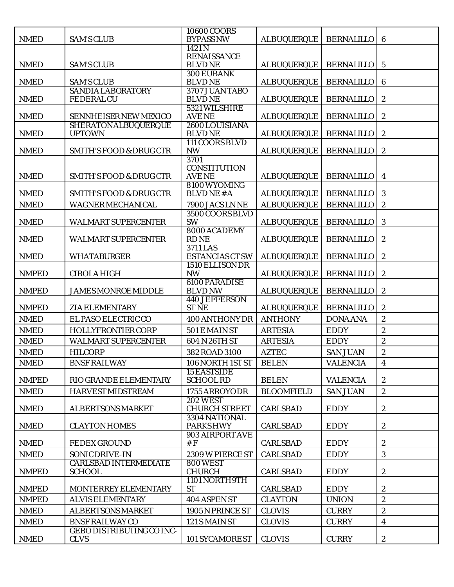| <b>NMED</b>  | <b>SAM'S CLUB</b>                              | 10600 COORS<br><b>BYPASS NW</b>         | <b>ALBUQUERQUE</b> | <b>BERNALILLO</b> | $6\phantom{1}6$         |
|--------------|------------------------------------------------|-----------------------------------------|--------------------|-------------------|-------------------------|
|              |                                                | 1421 N                                  |                    |                   |                         |
|              |                                                | <b>RENAISSANCE</b>                      |                    |                   |                         |
| <b>NMED</b>  | <b>SAM'S CLUB</b>                              | <b>BLVDNE</b><br><b>300 EUBANK</b>      | <b>ALBUQUERQUE</b> | <b>BERNALILLO</b> | $5\phantom{.0}$         |
| <b>NMED</b>  | <b>SAM'S CLUB</b>                              | <b>BLVDNE</b>                           | <b>ALBUQUERQUE</b> | <b>BERNALILLO</b> | $\boldsymbol{6}$        |
| <b>NMED</b>  | <b>SANDIA LABORATORY</b><br><b>FEDERAL CU</b>  | 3707 JUAN TABO<br><b>BLVDNE</b>         | <b>ALBUQUERQUE</b> | <b>BERNALILLO</b> | $\boldsymbol{2}$        |
|              |                                                | 5321 WILSHIRE                           |                    |                   |                         |
| <b>NMED</b>  | SENNHEISER NEW MEXICO                          | <b>AVENE</b>                            | <b>ALBUQUERQUE</b> | <b>BERNALILLO</b> | $\boldsymbol{2}$        |
| <b>NMED</b>  | <b>SHERATONALBUQUERQUE</b><br><b>UPTOWN</b>    | 2600 LOUISIANA<br><b>BLVDNE</b>         | <b>ALBUQUERQUE</b> | <b>BERNALILLO</b> | $\boldsymbol{2}$        |
| <b>NMED</b>  | <b>SMITH'S FOOD &amp; DRUG CTR</b>             | 111 COORS BLVD<br><b>NW</b>             | <b>ALBUQUERQUE</b> | <b>BERNALILLO</b> | $\boldsymbol{2}$        |
|              |                                                | 3701                                    |                    |                   |                         |
| <b>NMED</b>  | <b>SMITH'S FOOD &amp; DRUG CTR</b>             | <b>CONSTITUTION</b><br><b>AVENE</b>     | <b>ALBUQUERQUE</b> | <b>BERNALILLO</b> | $\overline{4}$          |
| <b>NMED</b>  | <b>SMITH'S FOOD &amp; DRUG CTR</b>             | 8100 WYOMING<br><b>BLVDNE#A</b>         | <b>ALBUQUERQUE</b> | <b>BERNALILLO</b> | 3                       |
| <b>NMED</b>  | <b>WAGNER MECHANICAL</b>                       | 7900 JACS LNNE                          | <b>ALBUQUERQUE</b> | <b>BERNALILLO</b> | $\boldsymbol{2}$        |
|              |                                                | 3500 COORS BLVD                         |                    |                   |                         |
| <b>NMED</b>  | <b>WALMART SUPERCENTER</b>                     | <b>SW</b>                               | <b>ALBUQUERQUE</b> | <b>BERNALILLO</b> | 3                       |
| <b>NMED</b>  | WALMART SUPERCENTER                            | 8000 ACADEMY<br><b>RDNE</b>             | <b>ALBUQUERQUE</b> | <b>BERNALILLO</b> | $\boldsymbol{2}$        |
| <b>NMED</b>  | <b>WHATABURGER</b>                             | 3711 LAS<br><b>ESTANCIAS CT SW</b>      | <b>ALBUQUERQUE</b> | <b>BERNALILLO</b> | $\boldsymbol{2}$        |
| <b>NMPED</b> | <b>CIBOLA HIGH</b>                             | 1510 ELLISON DR<br><b>NW</b>            | <b>ALBUQUERQUE</b> | <b>BERNALILLO</b> | $\boldsymbol{2}$        |
|              |                                                | <b>6100 PARADISE</b>                    |                    |                   |                         |
| <b>NMPED</b> | <b>JAMES MONROE MIDDLE</b>                     | <b>BLVD NW</b>                          | <b>ALBUQUERQUE</b> | <b>BERNALILLO</b> | $\boldsymbol{2}$        |
| <b>NMPED</b> | <b>ZIA ELEMENTARY</b>                          | <b>440 JEFFERSON</b><br><b>ST NE</b>    | <b>ALBUQUERQUE</b> | <b>BERNALILLO</b> | $\boldsymbol{2}$        |
| <b>NMED</b>  | EL PASO ELECTRIC CO                            | 400 ANTHONY DR                          | <b>ANTHONY</b>     | <b>DONA ANA</b>   | $\boldsymbol{2}$        |
| <b>NMED</b>  | HOLLYFRONTIER CORP                             | 501 E MAIN ST                           | <b>ARTESIA</b>     | <b>EDDY</b>       | $\boldsymbol{2}$        |
| <b>NMED</b>  | <b>WALMART SUPERCENTER</b>                     | 604 N 26TH ST                           | <b>ARTESIA</b>     | <b>EDDY</b>       | $\boldsymbol{2}$        |
| <b>NMED</b>  | <b>HILCORP</b>                                 | 382 ROAD 3100                           | <b>AZTEC</b>       | <b>SAN JUAN</b>   | $\boldsymbol{2}$        |
| <b>NMED</b>  | <b>BNSF RAILWAY</b>                            | 106 NORTH 1ST ST                        | <b>BELEN</b>       | <b>VALENCIA</b>   | $\overline{4}$          |
|              |                                                | <b>15 EASTSIDE</b>                      |                    |                   |                         |
| <b>NMPED</b> | RIO GRANDE ELEMENTARY                          | <b>SCHOOL RD</b>                        | <b>BELEN</b>       | <b>VALENCIA</b>   | $\boldsymbol{2}$        |
| <b>NMED</b>  | <b>HARVEST MIDSTREAM</b>                       | 1755 ARROYODR                           | <b>BLOOMFIELD</b>  | <b>SAN JUAN</b>   | $\boldsymbol{2}$        |
| <b>NMED</b>  | <b>ALBERTSONS MARKET</b>                       | <b>202 WEST</b><br><b>CHURCH STREET</b> | <b>CARLSBAD</b>    | <b>EDDY</b>       | $\sqrt{2}$              |
| <b>NMED</b>  | <b>CLAYTON HOMES</b>                           | 3304 NATIONAL<br><b>PARKSHWY</b>        | <b>CARLSBAD</b>    | <b>EDDY</b>       | $\boldsymbol{2}$        |
|              |                                                | 903 AIRPORT AVE<br>#F                   |                    | <b>EDDY</b>       |                         |
| <b>NMED</b>  | <b>FEDEX GROUND</b>                            |                                         | <b>CARLSBAD</b>    |                   | $\boldsymbol{2}$        |
| <b>NMED</b>  | SONIC DRIVE-IN<br><b>CARLSBAD INTERMEDIATE</b> | 2309 W PIERCE ST<br><b>800 WEST</b>     | <b>CARLSBAD</b>    | <b>EDDY</b>       | 3                       |
| <b>NMPED</b> | <b>SCHOOL</b>                                  | <b>CHURCH</b>                           | <b>CARLSBAD</b>    | <b>EDDY</b>       | $\boldsymbol{2}$        |
| <b>NMPED</b> | MONTERREY ELEMENTARY                           | 1101 NORTH 9TH<br><b>ST</b>             | <b>CARLSBAD</b>    | <b>EDDY</b>       | $\boldsymbol{2}$        |
| <b>NMPED</b> | <b>ALVIS ELEMENTARY</b>                        | <b>404 ASPEN ST</b>                     | <b>CLAYTON</b>     | <b>UNION</b>      | $\boldsymbol{2}$        |
| <b>NMED</b>  | <b>ALBERTSONS MARKET</b>                       | 1905 N PRINCE ST                        | <b>CLOVIS</b>      | <b>CURRY</b>      | $\boldsymbol{2}$        |
| <b>NMED</b>  | <b>BNSF RAILWAY CO</b>                         | 121 S MAIN ST                           | <b>CLOVIS</b>      | <b>CURRY</b>      | $\overline{\mathbf{4}}$ |
|              | <b>GEBO DISTRIBUTING CO INC-</b>               |                                         |                    |                   |                         |
| <b>NMED</b>  | <b>CLVS</b>                                    | 101 SYCAMOREST                          | <b>CLOVIS</b>      | <b>CURRY</b>      | $\boldsymbol{2}$        |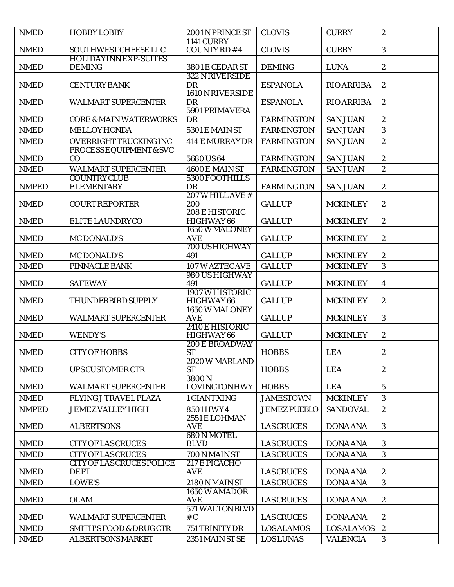| <b>NMED</b>  | <b>HOBBY LOBBY</b>                                            | 2001 N PRINCE ST                 | <b>CLOVIS</b>                          | <b>CURRY</b>      | $\boldsymbol{2}$        |
|--------------|---------------------------------------------------------------|----------------------------------|----------------------------------------|-------------------|-------------------------|
|              |                                                               | <b>1141 CURRY</b>                |                                        |                   |                         |
| <b>NMED</b>  | SOUTHWEST CHEESE LLC<br><b>HOLIDAYINN EXP-SUITES</b>          | COUNTY RD #4                     | <b>CLOVIS</b>                          | <b>CURRY</b>      | $\boldsymbol{3}$        |
| <b>NMED</b>  | <b>DEMING</b>                                                 | 3801 E CEDAR ST                  | <b>DEMING</b>                          | <b>LUNA</b>       | $\sqrt{2}$              |
|              |                                                               | 322 N RIVERSIDE                  |                                        |                   |                         |
| <b>NMED</b>  | <b>CENTURY BANK</b>                                           | DR                               | <b>ESPANOLA</b>                        | <b>RIO ARRIBA</b> | $\boldsymbol{2}$        |
| <b>NMED</b>  | <b>WALMART SUPERCENTER</b>                                    | 1610 N RIVERSIDE<br>DR           | <b>ESPANOLA</b>                        | <b>RIO ARRIBA</b> | $\boldsymbol{2}$        |
|              |                                                               | 5901 PRIMAVERA                   |                                        |                   |                         |
| <b>NMED</b>  | <b>CORE &amp; MAIN WATERWORKS</b>                             | <b>DR</b>                        | <b>FARMINGTON</b>                      | <b>SAN JUAN</b>   | $\boldsymbol{2}$        |
| <b>NMED</b>  | <b>MELLOY HONDA</b>                                           | 5301 E MAIN ST                   | <b>FARMINGTON</b>                      | <b>SAN JUAN</b>   | 3                       |
| <b>NMED</b>  | OVERRIGHT TRUCKING INC                                        | <b>414 E MURRAY DR</b>           | <b>FARMINGTON</b>                      | <b>SAN JUAN</b>   | $\boldsymbol{2}$        |
|              | PROCESS EQUIPMENT & SVC                                       |                                  |                                        |                   |                         |
| <b>NMED</b>  | CO                                                            | 5680 US64                        | <b>FARMINGTON</b>                      | <b>SAN JUAN</b>   | $\boldsymbol{2}$        |
| <b>NMED</b>  | <b>WALMART SUPERCENTER</b><br><b>COUNTRY CLUB</b>             | 4600 E MAIN ST<br>5300 FOOTHILLS | <b>FARMINGTON</b>                      | <b>SAN JUAN</b>   | $\boldsymbol{2}$        |
| <b>NMPED</b> | <b>ELEMENTARY</b>                                             | DR                               | <b>FARMINGTON</b>                      | <b>SAN JUAN</b>   | $\boldsymbol{2}$        |
|              |                                                               | <b>207 W HILL AVE #</b>          |                                        |                   |                         |
| <b>NMED</b>  | <b>COURT REPORTER</b>                                         | 200                              | <b>GALLUP</b>                          | <b>MCKINLEY</b>   | $\boldsymbol{2}$        |
|              |                                                               | 208 E HISTORIC                   |                                        |                   |                         |
| <b>NMED</b>  | ELITE LAUNDRYCO                                               | HIGHWAY 66<br>1650 W MALONEY     | <b>GALLUP</b>                          | <b>MCKINLEY</b>   | $\boldsymbol{2}$        |
| <b>NMED</b>  | <b>MC DONALD'S</b>                                            | <b>AVE</b>                       | <b>GALLUP</b>                          | <b>MCKINLEY</b>   | $\boldsymbol{2}$        |
|              |                                                               | 700 US HIGHWAY                   |                                        |                   |                         |
| <b>NMED</b>  | <b>MC DONALD'S</b>                                            | 491                              | <b>GALLUP</b>                          | <b>MCKINLEY</b>   | $\boldsymbol{2}$        |
| <b>NMED</b>  | PINNACLE BANK                                                 | 107 W AZTEC AVE                  | <b>GALLUP</b>                          | <b>MCKINLEY</b>   | 3                       |
| <b>NMED</b>  | <b>SAFEWAY</b>                                                | 980 US HIGHWAY<br>491            | <b>GALLUP</b>                          | <b>MCKINLEY</b>   | $\overline{\mathbf{4}}$ |
|              |                                                               | 1907 W HISTORIC                  |                                        |                   |                         |
| <b>NMED</b>  | THUNDERBIRD SUPPLY                                            | HIGHWAY 66                       | <b>GALLUP</b>                          | <b>MCKINLEY</b>   | $\boldsymbol{2}$        |
|              |                                                               | 1650 W MALONEY                   |                                        |                   |                         |
| <b>NMED</b>  | <b>WALMART SUPERCENTER</b>                                    | <b>AVE</b><br>2410 E HISTORIC    | <b>GALLUP</b>                          | <b>MCKINLEY</b>   | $\mathbf{3}$            |
| <b>NMED</b>  | <b>WENDY'S</b>                                                | HIGHWAY 66                       | <b>GALLUP</b>                          | <b>MCKINLEY</b>   | $\boldsymbol{2}$        |
|              |                                                               | <b>200 E BROADWAY</b>            |                                        |                   |                         |
| <b>NMED</b>  | <b>CITY OF HOBBS</b>                                          | <b>ST</b>                        | <b>HOBBS</b>                           | <b>LEA</b>        | $\boldsymbol{2}$        |
| <b>NMED</b>  |                                                               | <b>2020 W MARLAND</b>            |                                        |                   |                         |
|              | UPS CUSTOMER CTR                                              | <b>ST</b><br>3800N               | <b>HOBBS</b>                           | <b>LEA</b>        | $\boldsymbol{2}$        |
| <b>NMED</b>  | <b>WALMART SUPERCENTER</b>                                    | <b>LOVINGTONHWY</b>              | <b>HOBBS</b>                           | <b>LEA</b>        | 5                       |
| <b>NMED</b>  | <b>FLYING J TRAVEL PLAZA</b>                                  | 1 GIANT XING                     | <b>JAMESTOWN</b>                       | <b>MCKINLEY</b>   | 3                       |
| <b>NMPED</b> | <b>JEMEZ VALLEY HIGH</b>                                      | 8501 HWY 4                       | <b>JEMEZ PUEBLO</b>                    | <b>SANDOVAL</b>   | $\sqrt{2}$              |
|              |                                                               | 2551 E LOHMAN                    |                                        |                   |                         |
| <b>NMED</b>  | <b>ALBERTSONS</b>                                             | <b>AVE</b>                       | <b>LAS CRUCES</b>                      | <b>DONA ANA</b>   | 3                       |
|              |                                                               | 680N MOTEL                       |                                        |                   |                         |
| <b>NMED</b>  | <b>CITY OF LAS CRUCES</b>                                     | <b>BLVD</b>                      | <b>LAS CRUCES</b><br><b>LAS CRUCES</b> | <b>DONA ANA</b>   | 3<br>3                  |
| <b>NMED</b>  | <b>CITY OF LAS CRUCES</b><br><b>CITY OF LAS CRUCES POLICE</b> | 700 N MAIN ST<br>217 E PICACHO   |                                        | <b>DONA ANA</b>   |                         |
| <b>NMED</b>  | <b>DEPT</b>                                                   | <b>AVE</b>                       | <b>LAS CRUCES</b>                      | <b>DONA ANA</b>   | $\boldsymbol{2}$        |
| <b>NMED</b>  | LOWE'S                                                        | 2180 N MAIN ST                   | <b>LAS CRUCES</b>                      | <b>DONA ANA</b>   | 3                       |
|              |                                                               | 1650 W AMADOR                    |                                        |                   |                         |
| <b>NMED</b>  | <b>OLAM</b>                                                   | <b>AVE</b>                       | <b>LAS CRUCES</b>                      | <b>DONA ANA</b>   | $\boldsymbol{2}$        |
| <b>NMED</b>  | <b>WALMART SUPERCENTER</b>                                    | 571 WALTON BLVD<br># $C$         | <b>LAS CRUCES</b>                      | <b>DONA ANA</b>   | $\boldsymbol{2}$        |
|              |                                                               |                                  |                                        |                   | $\boldsymbol{2}$        |
| <b>NMED</b>  | <b>SMITH'S FOOD &amp; DRUG CTR</b>                            | 751 TRINITY DR                   | <b>LOSALAMOS</b>                       | <b>LOSALAMOS</b>  |                         |
| <b>NMED</b>  | <b>ALBERTSONS MARKET</b>                                      | 2351 MAIN ST SE                  | <b>LOSLUNAS</b>                        | <b>VALENCIA</b>   | 3                       |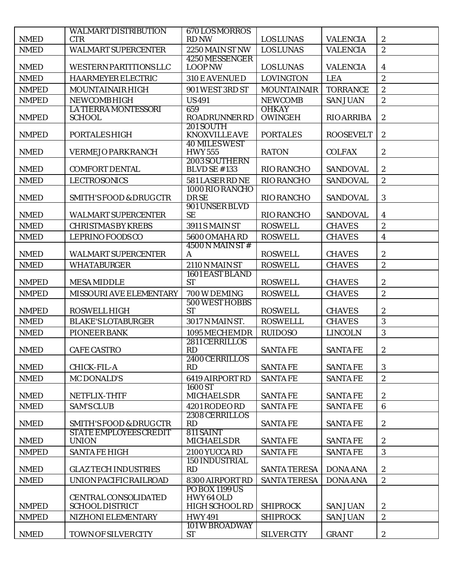|                              | <b>WALMART DISTRIBUTION</b>                    | 670LOSMORROS                          |                                    |                                    |                                    |
|------------------------------|------------------------------------------------|---------------------------------------|------------------------------------|------------------------------------|------------------------------------|
| <b>NMED</b><br><b>NMED</b>   | <b>CTR</b><br><b>WALMART SUPERCENTER</b>       | <b>RD NW</b><br>2250 MAIN ST NW       | <b>LOSLUNAS</b><br><b>LOSLUNAS</b> | <b>VALENCIA</b><br><b>VALENCIA</b> | $\boldsymbol{2}$<br>$\overline{2}$ |
|                              |                                                | 4250 MESSENGER                        |                                    |                                    |                                    |
| <b>NMED</b>                  | <b>WESTERN PARTITIONS LLC</b>                  | <b>LOOP NW</b>                        | <b>LOSLUNAS</b>                    | <b>VALENCIA</b>                    | $\overline{\mathbf{4}}$            |
| <b>NMED</b>                  | <b>HAARMEYER ELECTRIC</b>                      | 310 E AVENUED                         | <b>LOVINGTON</b>                   | <b>LEA</b>                         | $\boldsymbol{2}$                   |
| <b>NMPED</b>                 | MOUNTAINAIR HIGH                               | 901 WEST 3RD ST                       | <b>MOUNTAINAIR</b>                 | <b>TORRANCE</b>                    | $\boldsymbol{2}$                   |
| <b>NMPED</b>                 | <b>NEWCOMBHIGH</b>                             | <b>US491</b>                          | <b>NEWCOMB</b>                     | <b>SAN JUAN</b>                    | $\boldsymbol{2}$                   |
| <b>NMPED</b>                 | <b>LA TIERRA MONTESSORI</b><br><b>SCHOOL</b>   | 659<br><b>ROADRUNNER RD</b>           | <b>OHKAY</b><br><b>OWINGEH</b>     | <b>RIO ARRIBA</b>                  | $\boldsymbol{2}$                   |
| <b>NMPED</b>                 | <b>PORTALESHIGH</b>                            | 201 SOUTH<br><b>KNOXVILLEAVE</b>      | <b>PORTALES</b>                    | <b>ROOSEVELT</b>                   | $\boldsymbol{2}$                   |
| <b>NMED</b>                  | <b>VERMEJO PARKRANCH</b>                       | <b>40 MILES WEST</b><br><b>HWY555</b> | <b>RATON</b>                       | <b>COLFAX</b>                      | $\boldsymbol{2}$                   |
| <b>NMED</b>                  | <b>COMFORT DENTAL</b>                          | 2003 SOUTHERN<br><b>BLVD SE #133</b>  | <b>RIO RANCHO</b>                  | <b>SANDOVAL</b>                    | $\boldsymbol{2}$                   |
| <b>NMED</b>                  | <b>LECTROSONICS</b>                            | 581 LASER RD NE                       | <b>RIO RANCHO</b>                  | <b>SANDOVAL</b>                    | $\boldsymbol{2}$                   |
| <b>NMED</b>                  | <b>SMITH'S FOOD &amp; DRUG CTR</b>             | 1000 RIO RANCHO<br><b>DRSE</b>        | <b>RIO RANCHO</b>                  | <b>SANDOVAL</b>                    | 3                                  |
| <b>NMED</b>                  | <b>WALMART SUPERCENTER</b>                     | 901 UNSER BLVD<br><b>SE</b>           | RIO RANCHO                         | <b>SANDOVAL</b>                    | $\boldsymbol{4}$                   |
| <b>NMED</b>                  | <b>CHRISTMAS BY KREBS</b>                      | 3911 S MAIN ST                        | <b>ROSWELL</b>                     | <b>CHAVES</b>                      | $\boldsymbol{2}$                   |
| <b>NMED</b>                  | <b>LEPRINO FOODS CO</b>                        | <b>5600 OMAHA RD</b>                  | <b>ROSWELL</b>                     | <b>CHAVES</b>                      | $\boldsymbol{4}$                   |
| <b>NMED</b>                  | <b>WALMART SUPERCENTER</b>                     | $4500 N$ MAIN ST #<br>A               | <b>ROSWELL</b>                     | <b>CHAVES</b>                      | $\boldsymbol{2}$                   |
| <b>NMED</b>                  | <b>WHATABURGER</b>                             | 2110 N MAIN ST                        | <b>ROSWELL</b>                     | <b>CHAVES</b>                      | $\boldsymbol{2}$                   |
| <b>NMPED</b>                 | <b>MESA MIDDLE</b>                             | <b>1601 EAST BLAND</b><br><b>ST</b>   | <b>ROSWELL</b>                     | <b>CHAVES</b>                      | $\boldsymbol{2}$                   |
| <b>NMPED</b>                 | MISSOURI AVE ELEMENTARY                        | 700 W DEMING                          | <b>ROSWELL</b>                     | <b>CHAVES</b>                      | $\sqrt{2}$                         |
| <b>NMPED</b>                 | <b>ROSWELL HIGH</b>                            | <b>500 WEST HOBBS</b><br><b>ST</b>    | <b>ROSWELL</b>                     | <b>CHAVES</b>                      | $\boldsymbol{2}$                   |
| <b>NMED</b>                  | <b>BLAKE'S LOTABURGER</b>                      | 3017 N MAIN ST.                       | <b>ROSWELLL</b>                    | <b>CHAVES</b>                      | 3                                  |
| <b>NMED</b>                  | <b>PIONEER BANK</b>                            | 1095 MECHEMDR                         | <b>RUIDOSO</b>                     | <b>LINCOLN</b>                     | 3                                  |
|                              |                                                | 2811 CERRILLOS                        |                                    |                                    |                                    |
| <b>NMED</b>                  | <b>CAFE CASTRO</b>                             | RD                                    | <b>SANTAFE</b>                     | <b>SANTAFE</b>                     | $\boldsymbol{2}$                   |
| $\ensuremath{\mathsf{NMED}}$ | <b>CHICK-FIL-A</b>                             | 2400 CERRILLOS<br>RD                  | <b>SANTAFE</b>                     | <b>SANTAFE</b>                     | 3                                  |
| <b>NMED</b>                  | <b>MC DONALD'S</b>                             | 6419 AIRPORT RD                       | <b>SANTAFE</b>                     | <b>SANTAFE</b>                     | $\overline{2}$                     |
| <b>NMED</b>                  | NETFLIX-THTF                                   | 1600 ST<br><b>MICHAELSDR</b>          | <b>SANTAFE</b>                     | <b>SANTAFE</b>                     | $\boldsymbol{2}$                   |
| <b>NMED</b>                  | <b>SAM'S CLUB</b>                              | 4201 RODEO RD                         | <b>SANTAFE</b>                     | <b>SANTAFE</b>                     | $6\phantom{1}6$                    |
| <b>NMED</b>                  | <b>SMITH'S FOOD &amp; DRUG CTR</b>             | 2308 CERRILLOS<br>RD                  | <b>SANTAFE</b>                     | <b>SANTAFE</b>                     | $\boldsymbol{2}$                   |
| <b>NMED</b>                  | <b>STATE EMPLOYEES CREDIT</b><br><b>UNION</b>  | 811 SAINT<br><b>MICHAELSDR</b>        | <b>SANTAFE</b>                     | <b>SANTAFE</b>                     | $\boldsymbol{2}$                   |
| <b>NMPED</b>                 | <b>SANTA FE HIGH</b>                           | 2100 YUCCA RD                         | <b>SANTAFE</b>                     | <b>SANTAFE</b>                     | 3                                  |
| <b>NMED</b>                  | <b>GLAZ TECH INDUSTRIES</b>                    | <b>150 INDUSTRIAL</b><br>RD           | <b>SANTA TERESA</b>                | <b>DONA ANA</b>                    | $\boldsymbol{2}$                   |
| <b>NMED</b>                  | UNION PACIFIC RAILROAD                         | 8300 AIRPORT RD                       | <b>SANTA TERESA</b>                | <b>DONA ANA</b>                    | $\boldsymbol{2}$                   |
|                              |                                                | PO BOX 1199 US                        |                                    |                                    |                                    |
| <b>NMPED</b>                 | CENTRAL CONSOLIDATED<br><b>SCHOOL DISTRICT</b> | HWY64OLD<br>HIGH SCHOOL RD            | <b>SHIPROCK</b>                    | <b>SAN JUAN</b>                    | $\boldsymbol{2}$                   |
| <b>NMPED</b>                 | NIZHONI ELEMENTARY                             | <b>HWY491</b>                         | <b>SHIPROCK</b>                    | <b>SAN JUAN</b>                    | $\boldsymbol{2}$                   |
|                              |                                                | 101 W BROADWAY                        |                                    |                                    |                                    |
| <b>NMED</b>                  | TOWN OF SILVERCITY                             | <b>ST</b>                             | <b>SILVER CITY</b>                 | <b>GRANT</b>                       | $\boldsymbol{2}$                   |